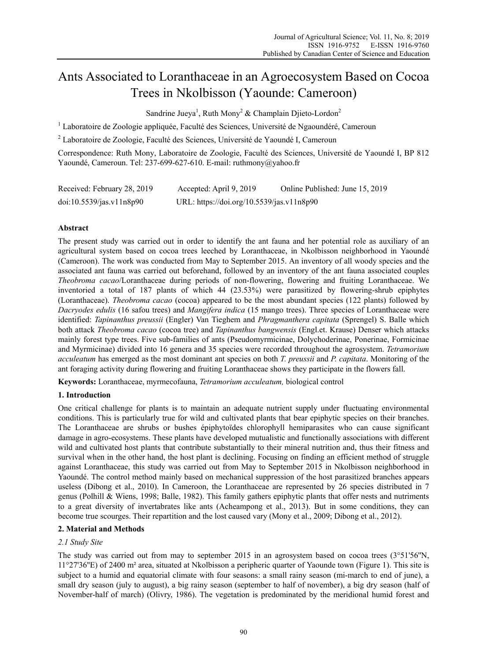# Ants Associated to Loranthaceae in an Agroecosystem Based on Cocoa Trees in Nkolbisson (Yaounde: Cameroon)

Sandrine Jueya<sup>1</sup>, Ruth Mony<sup>2</sup> & Champlain Djieto-Lordon<sup>2</sup>

<sup>1</sup> Laboratoire de Zoologie appliquée, Faculté des Sciences, Université de Ngaoundéré, Cameroun

<sup>2</sup> Laboratoire de Zoologie, Faculté des Sciences, Université de Yaoundé I, Cameroun

Correspondence: Ruth Mony, Laboratoire de Zoologie, Faculté des Sciences, Université de Yaoundé I, BP 812 Yaoundé, Cameroun. Tel: 237-699-627-610. E-mail: ruthmony@yahoo.fr

| Received: February 28, 2019 | Accepted: April 9, 2019                   | Online Published: June 15, 2019 |
|-----------------------------|-------------------------------------------|---------------------------------|
| doi:10.5539/jas.v11n8p90    | URL: https://doi.org/10.5539/jas.v11n8p90 |                                 |

# **Abstract**

The present study was carried out in order to identify the ant fauna and her potential role as auxiliary of an agricultural system based on cocoa trees leeched by Loranthaceae, in Nkolbisson neighborhood in Yaoundé (Cameroon). The work was conducted from May to September 2015. An inventory of all woody species and the associated ant fauna was carried out beforehand, followed by an inventory of the ant fauna associated couples *Theobroma cacao*/Loranthaceae during periods of non-flowering, flowering and fruiting Loranthaceae. We inventoried a total of 187 plants of which 44 (23.53%) were parasitized by flowering-shrub epiphytes (Loranthaceae). *Theobroma cacao* (cocoa) appeared to be the most abundant species (122 plants) followed by *Dacryodes edulis* (16 safou trees) and *Mangifera indica* (15 mango trees). Three species of Loranthaceae were identified: *Tapinanthus preussii* (Engler) Van Tieghem and *Phragmanthera capitata* (Sprengel) S. Balle which both attack *Theobroma cacao* (cocoa tree) and *Tapinanthus bangwensis* (Engl.et. Krause) Denser which attacks mainly forest type trees. Five sub-families of ants (Pseudomyrmicinae, Dolychoderinae, Ponerinae, Formicinae and Myrmicinae) divided into 16 genera and 35 species were recorded throughout the agrosystem. *Tetramorium acculeatum* has emerged as the most dominant ant species on both *T. preussii* and *P. capitata*. Monitoring of the ant foraging activity during flowering and fruiting Loranthaceae shows they participate in the flowers fall.

**Keywords:** Loranthaceae, myrmecofauna, *Tetramorium acculeatum,* biological control

# **1. Introduction**

One critical challenge for plants is to maintain an adequate nutrient supply under fluctuating environmental conditions. This is particularly true for wild and cultivated plants that bear epiphytic species on their branches. The Loranthaceae are shrubs or bushes épiphytoïdes chlorophyll hemiparasites who can cause significant damage in agro-ecosystems. These plants have developed mutualistic and functionally associations with different wild and cultivated host plants that contribute substantially to their mineral nutrition and, thus their fitness and survival when in the other hand, the host plant is declining. Focusing on finding an efficient method of struggle against Loranthaceae, this study was carried out from May to September 2015 in Nkolbisson neighborhood in Yaoundé. The control method mainly based on mechanical suppression of the host parasitized branches appears useless (Dibong et al., 2010). In Cameroon, the Loranthaceae are represented by 26 species distributed in 7 genus (Polhill & Wiens, 1998; Balle, 1982). This family gathers epiphytic plants that offer nests and nutriments to a great diversity of invertabrates like ants (Acheampong et al., 2013). But in some conditions, they can become true scourges. Their repartition and the lost caused vary (Mony et al., 2009; Dibong et al., 2012).

# **2. Material and Methods**

# *2.1 Study Site*

The study was carried out from may to september 2015 in an agrosystem based on cocoa trees (3°51'56''N, 11°27'36''E) of 2400 m² area, situated at Nkolbisson a peripheric quarter of Yaounde town (Figure 1). This site is subject to a humid and equatorial climate with four seasons: a small rainy season (mi-march to end of june), a small dry season (july to august), a big rainy season (september to half of november), a big dry season (half of November-half of march) (Olivry, 1986). The vegetation is predominated by the meridional humid forest and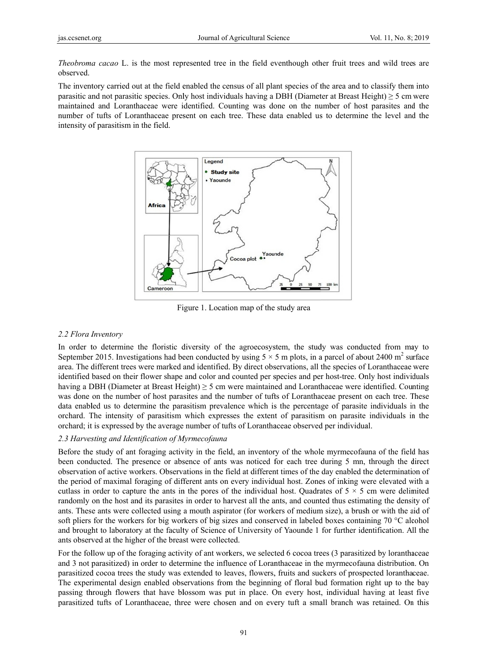Theobroma cacao L, is the most represented tree in the field eventhough other fruit trees and wild trees are observed

The inventory carried out at the field enabled the census of all plant species of the area and to classify them into parasitic and not parasitic species. Only host individuals having a DBH (Diameter at Breast Height)  $\geq$  5 cm were maintained and Loranthaceae were identified. Counting was done on the number of host parasites and the number of tufts of Loranthaceae present on each tree. These data enabled us to determine the level and the intensity of parasitism in the field.



Figure 1. Location map of the study area

#### 2.2 Flora Inventory

In order to determine the floristic diversity of the agroecosystem, the study was conducted from may to September 2015. Investigations had been conducted by using  $5 \times 5$  m plots, in a parcel of about 2400 m<sup>2</sup> surface area. The different trees were marked and identified. By direct observations, all the species of Loranthaceae were identified based on their flower shape and color and counted per species and per host-tree. Only host individuals having a DBH (Diameter at Breast Height)  $\geq$  5 cm were maintained and Loranthaceae were identified. Counting was done on the number of host parasites and the number of tufts of Loranthaceae present on each tree. These data enabled us to determine the parasitism prevalence which is the percentage of parasite individuals in the orchard. The intensity of parasitism which expresses the extent of parasitism on parasite individuals in the orchard; it is expressed by the average number of tufts of Loranthaceae observed per individual.

#### 2.3 Harvesting and Identification of Myrmecofauna

Before the study of ant foraging activity in the field, an inventory of the whole myrmecofauna of the field has been conducted. The presence or absence of ants was noticed for each tree during 5 mn, through the direct observation of active workers. Observations in the field at different times of the day enabled the determination of the period of maximal foraging of different ants on every individual host. Zones of inking were elevated with a cutlass in order to capture the ants in the pores of the individual host. Ouadrates of  $5 \times 5$  cm were delimited randomly on the host and its parasites in order to harvest all the ants, and counted thus estimating the density of ants. These ants were collected using a mouth aspirator (for workers of medium size), a brush or with the aid of soft pliers for the workers for big workers of big sizes and conserved in labeled boxes containing 70 °C alcohol and brought to laboratory at the faculty of Science of University of Yaounde 1 for further identification. All the ants observed at the higher of the breast were collected.

For the follow up of the foraging activity of ant workers, we selected 6 cocoa trees (3 parasitized by loranthaceae and 3 not parasitized) in order to determine the influence of Loranthaceae in the myrmecofauna distribution. On parasitized cocoa trees the study was extended to leaves, flowers, fruits and suckers of prospected loranthaceae. The experimental design enabled observations from the beginning of floral bud formation right up to the bay passing through flowers that have blossom was put in place. On every host, individual having at least five parasitized tufts of Loranthaceae, three were chosen and on every tuft a small branch was retained. On this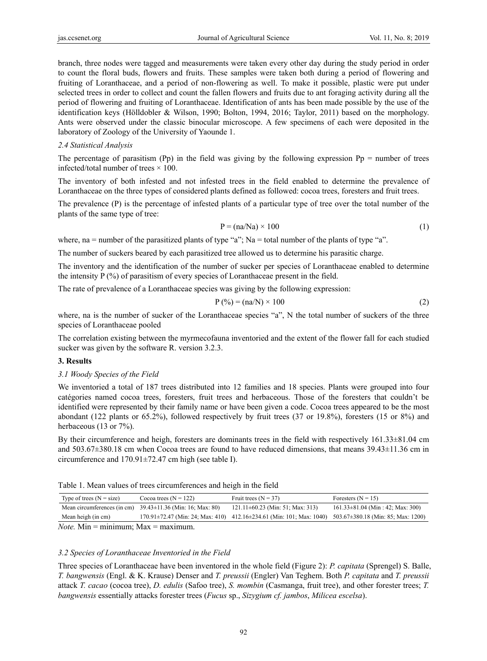branch, three nodes were tagged and measurements were taken every other day during the study period in order to count the floral buds, flowers and fruits. These samples were taken both during a period of flowering and fruiting of Loranthaceae, and a period of non-flowering as well. To make it possible, plastic were put under selected trees in order to collect and count the fallen flowers and fruits due to ant foraging activity during all the period of flowering and fruiting of Loranthaceae. Identification of ants has been made possible by the use of the identification keys (Hölldobler & Wilson, 1990; Bolton, 1994, 2016; Taylor, 2011) based on the morphology. Ants were observed under the classic binocular microscope. A few specimens of each were deposited in the laboratory of Zoology of the University of Yaounde 1.

#### *2.4 Statistical Analysis*

The percentage of parasitism (Pp) in the field was giving by the following expression  $Pp =$  number of trees infected/total number of trees  $\times$  100.

The inventory of both infested and not infested trees in the field enabled to determine the prevalence of Loranthaceae on the three types of considered plants defined as followed: cocoa trees, foresters and fruit trees.

The prevalence (P) is the percentage of infested plants of a particular type of tree over the total number of the plants of the same type of tree:

$$
P = (na/Na) \times 100 \tag{1}
$$

where, na = number of the parasitized plants of type "a"; Na = total number of the plants of type "a".

The number of suckers beared by each parasitized tree allowed us to determine his parasitic charge.

The inventory and the identification of the number of sucker per species of Loranthaceae enabled to determine the intensity  $P(\%)$  of parasitism of every species of Loranthaceae present in the field.

The rate of prevalence of a Loranthaceae species was giving by the following expression:

$$
P(\%)=(na/N)\times 100\tag{2}
$$

where, na is the number of sucker of the Loranthaceae species "a", N the total number of suckers of the three species of Loranthaceae pooled

The correlation existing between the myrmecofauna inventoried and the extent of the flower fall for each studied sucker was given by the software R. version 3.2.3.

#### **3. Results**

#### *3.1 Woody Species of the Field*

We inventoried a total of 187 trees distributed into 12 families and 18 species. Plants were grouped into four catégories named cocoa trees, foresters, fruit trees and herbaceous. Those of the foresters that couldn't be identified were represented by their family name or have been given a code. Cocoa trees appeared to be the most abondant (122 plants or 65.2%), followed respectively by fruit trees (37 or 19.8%), foresters (15 or 8%) and herbaceous (13 or 7%).

By their circumference and heigh, foresters are dominants trees in the field with respectively 161.33±81.04 cm and 503.67±380.18 cm when Cocoa trees are found to have reduced dimensions, that means 39.43±11.36 cm in circumference and 170.91±72.47 cm high (see table I).

Table 1. Mean values of trees circumferences and heigh in the field

| Type of trees $(N = size)$ | Cocoa trees $(N = 122)$                                        | Fruit trees $(N = 37)$                                                                                                    | Foresters $(N = 15)$                  |  |  |  |  |
|----------------------------|----------------------------------------------------------------|---------------------------------------------------------------------------------------------------------------------------|---------------------------------------|--|--|--|--|
|                            | Mean circumferences (in cm) $39.43\pm11.36$ (Min: 16; Max: 80) | $121.11\pm 60.23$ (Min: 51; Max: 313)                                                                                     | $161.33\pm81.04$ (Min : 42; Max: 300) |  |  |  |  |
| Mean heigh (in cm)         |                                                                | $170.91 \pm 72.47$ (Min: 24; Max: 410) 412.16 $\pm 234.61$ (Min: 101; Max: 1040) 503.67 $\pm 380.18$ (Min: 85; Max: 1200) |                                       |  |  |  |  |
|                            |                                                                |                                                                                                                           |                                       |  |  |  |  |

*Note.* Min = minimum;  $Max = maximum$ .

#### *3.2 Species of Loranthaceae Inventoried in the Field*

Three species of Loranthaceae have been inventored in the whole field (Figure 2): *P. capitata* (Sprengel) S. Balle, *T. bangwensis* (Engl. & K. Krause) Denser and *T. preussii* (Engler) Van Teghem. Both *P. capitata* and *T. preussii*  attack *T. cacao* (cocoa tree), *D. edulis* (Safoo tree), *S. mombin* (Casmanga, fruit tree), and other forester trees; *T. bangwensis* essentially attacks forester trees (*Fucus* sp., *Sizygium cf. jambos*, *Milicea escelsa*).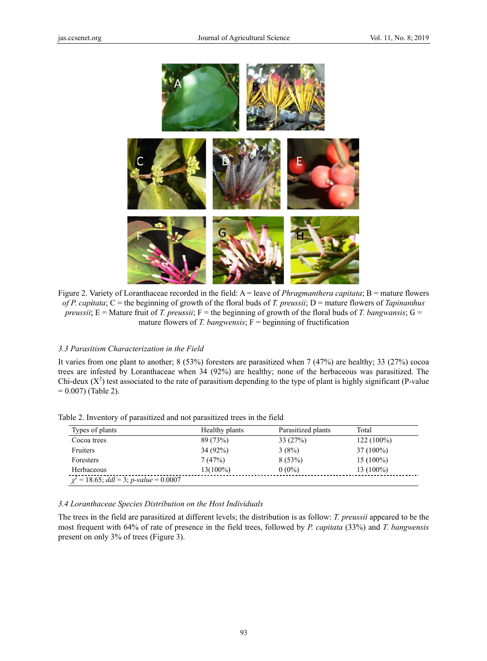

Figure 2. Variety of Loranthaceae recorded in the field:  $A =$  leave of *Phragmanthera capitata*;  $B =$  mature flowers of P. capitata;  $C$  = the beginning of growth of the floral buds of T. preussii;  $D$  = mature flowers of Tapinanthus *preussii*; E = Mature fruit of *T. preussii*; F = the beginning of growth of the floral buds of *T. bangwansis*; G = mature flowers of T. bangwensis;  $F =$  beginning of fructification

#### 3.3 Parasitism Characterization in the Field

It varies from one plant to another;  $8(53%)$  foresters are parasitized when 7 (47%) are healthy; 33 (27%) cocoa trees are infested by Loranthaceae when 34 (92%) are healthy; none of the herbaceous was parasitized. The Chi-deux  $(X^2)$  test associated to the rate of parasitism depending to the type of plant is highly significant (P-value  $= 0.007$ ) (Table 2).

| Types of plants                              | Healthy plants | Parasitized plants | Total        |
|----------------------------------------------|----------------|--------------------|--------------|
| Cocoa trees                                  | 89 (73%)       | 33(27%)            | $122(100\%)$ |
| Fruiters                                     | 34 (92%)       | 3(8%)              | $37(100\%)$  |
| Foresters                                    | 7(47%)         | 8(53%)             | $15(100\%)$  |
| Herbaceous                                   | $13(100\%)$    | $0(0\%)$           | $13(100\%)$  |
| $\chi^2 = 18.65$ ; ddl = 3; p-value = 0.0007 |                |                    |              |

Table 2. Inventory of parasitized and not parasitized trees in the field

#### 3.4 Loranthaceae Species Distribution on the Host Individuals

The trees in the field are parasitized at different levels; the distribution is as follow: *T. preussii* appeared to be the most frequent with 64% of rate of presence in the field trees, followed by P. capitata (33%) and T. bangwensis present on only 3% of trees (Figure 3).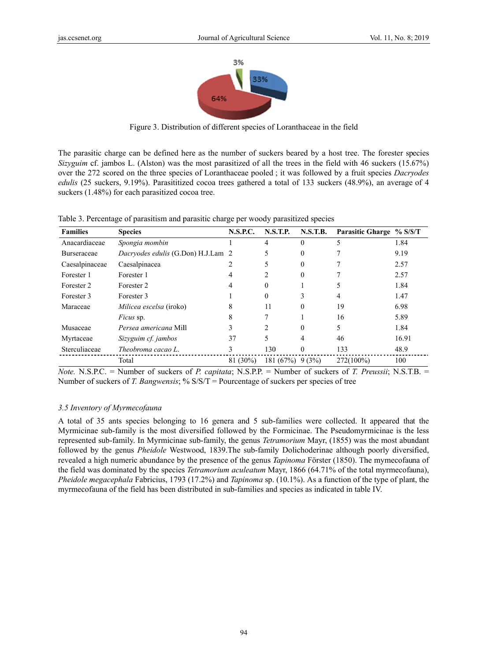

Figure 3. Distribution of different species of Loranthaceae in the field

The parasitic charge can be defined here as the number of suckers beared by a host tree. The forester species Sizyguim cf. jambos L. (Alston) was the most parasitized of all the trees in the field with 46 suckers (15.67%) over the 272 scored on the three species of Loranthaceae pooled; it was followed by a fruit species *Dacryodes* edulis (25 suckers, 9.19%). Parasititized cocoa trees gathered a total of 133 suckers (48.9%), an average of 4 suckers (1.48%) for each parasitized cocoa tree.

Table 3. Percentage of parasitism and parasitic charge per woody parasitized species

| <b>Families</b>    | <b>Species</b>                            | <b>N.S.P.C.</b> | <b>N.S.T.P.</b>   | <b>N.S.T.B.</b> | Parasitic Gharge % S/S/T |       |
|--------------------|-------------------------------------------|-----------------|-------------------|-----------------|--------------------------|-------|
| Anacardiaceae      | Spongia mombin                            |                 | 4                 | $\theta$        |                          | 1.84  |
| <b>Burseraceae</b> | <i>Dacryodes edulis</i> (G.Don) H.J.Lam 2 |                 |                   | 0               |                          | 9.19  |
| Caesalpinaceae     | Caesalpinacea                             |                 |                   | $\Omega$        |                          | 2.57  |
| Forester 1         | Forester 1                                | 4               | 2                 | $\Omega$        |                          | 2.57  |
| Forester 2         | Forester 2                                | 4               | 0                 |                 |                          | 1.84  |
| Forester 3         | Forester 3                                |                 | 0                 |                 |                          | 1.47  |
| Maraceae           | Milicea escelsa (iroko)                   |                 | 11                | 0               | 19                       | 6.98  |
|                    | <i>Ficus</i> sp.                          | 8               |                   |                 | 16                       | 5.89  |
| Musaceae           | Persea americana Mill                     |                 | $\mathfrak{D}$    | $\Omega$        | 5                        | 1.84  |
| Myrtaceae          | Sizyguim cf. jambos                       | 37              | 5                 | 4               | 46                       | 16.91 |
| Sterculiaceae      | Theobroma cacao L.                        | 3               | 130               | $\Omega$        | 133                      | 48.9  |
|                    | Total                                     | $81(30\%)$      | $181(67%)$ 9 (3%) |                 | 272(100%)                | 100   |

*Note.* N.S.P.C. = Number of suckers of *P. capitata*; N.S.P.P. = Number of suckers of *T. Preussii*; N.S.T.B. = Number of suckers of T. Bangwensis; %  $S/S/T =$  Pourcentage of suckers per species of tree

# 3.5 Inventory of Myrmecofauna

A total of 35 ants species belonging to 16 genera and 5 sub-families were collected. It appeared that the Myrmicinae sub-family is the most diversified followed by the Formicinae. The Pseudomyrmicinae is the less represented sub-family. In Myrmicinae sub-family, the genus *Tetramorium* Mayr, (1855) was the most abundant followed by the genus Pheidole Westwood, 1839. The sub-family Dolichoderinae although poorly diversified, revealed a high numeric abundance by the presence of the genus *Tapinoma* Förster (1850). The mymecofauna of the field was dominated by the species Tetramorium aculeatum Mayr, 1866 (64.71% of the total myrmecofauna), *Pheidole megacephala* Fabricius, 1793 (17.2%) and *Tapinoma* sp. (10.1%). As a function of the type of plant, the myrmecofauna of the field has been distributed in sub-families and species as indicated in table IV.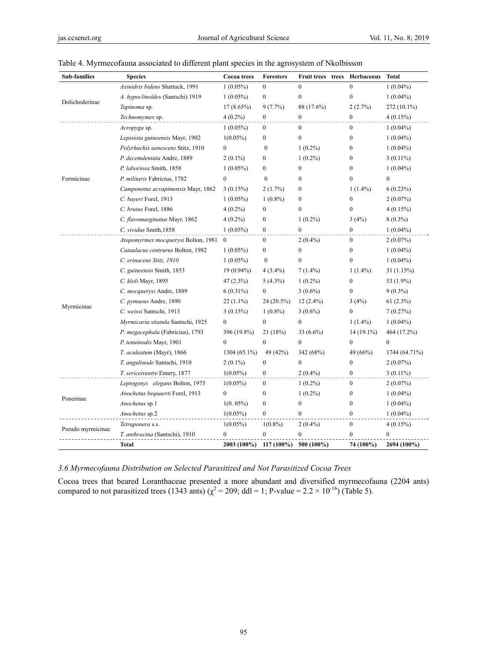| Sub-families      | <b>Species</b>                        | Cocoa trees      | <b>Foresters</b> | Fruit trees trees | Herbaceous       | <b>Total</b>     |
|-------------------|---------------------------------------|------------------|------------------|-------------------|------------------|------------------|
|                   | Axinidris bidens Shattuck, 1991       | $1(0.05\%)$      | $\bf{0}$         | $\mathbf{0}$      | $\overline{0}$   | $1(0.04\%)$      |
|                   | A. hypoclinoïdes (Santschi) 1919      | $1(0.05\%)$      | $\boldsymbol{0}$ | $\boldsymbol{0}$  | $\boldsymbol{0}$ | $1(0.04\%)$      |
| Dolichoderinae    | Tapinoma sp.                          | $17(8.65\%)$     | $9(7.7\%)$       | 88 (17.6%)        | 2(2.7%)          | 272 (10.1%)      |
|                   | Technomymex sp.                       | $4(0.2\%)$       | $\mathbf{0}$     | $\mathbf{0}$      | $\Omega$         | 4(0.15%)         |
|                   | Acropyga sp.                          | $1(0.05\%)$      | $\mathbf{0}$     | $\mathbf{0}$      | $\mathbf{0}$     | $1(0.04\%)$      |
|                   | Lepisiota guineensis Mayr, 1902       | $1(0.05\%)$      | $\theta$         | $\theta$          | $\theta$         | $1(0.04\%)$      |
|                   | Polyrhachis aenescens Stitz, 1910     | $\theta$         | $\theta$         | $1(0.2\%)$        | $\Omega$         | $1(0.04\%)$      |
|                   | P. decemdentata Andre, 1889           | $2(0.1\%)$       | $\overline{0}$   | $1(0.2\%)$        | $\theta$         | $3(0.11\%)$      |
|                   | P. laboriosa Smith, 1858              | $1(0.05\%)$      | $\overline{0}$   | $\mathbf{0}$      | $\boldsymbol{0}$ | $1(0.04\%)$      |
| Formicinae        | P. militaris Fabricius, 1782          | $\theta$         | $\mathbf{0}$     | $\mathbf{0}$      | $\theta$         | $\overline{0}$   |
|                   | Camponotus acvapimensis Mayr, 1862    | 3(0.15%)         | 2(1.7%)          | $\mathbf{0}$      | $1(1.4\%)$       | 6(0.23%)         |
|                   | C. bayeri Forel, 1913                 | $1(0.05\%)$      | $1(0.8\%)$       | $\mathbf{0}$      | $\mathbf{0}$     | $2(0.07\%)$      |
|                   | C. brutus Forel, 1886                 | $4(0.2\%)$       | $\bf{0}$         | $\mathbf{0}$      | $\theta$         | 4(0.15%)         |
|                   | C. flavomarginatus Mayr, 1862         | $4(0.2\%)$       | $\boldsymbol{0}$ | $1(0.2\%)$        | 3(4%)            | $8(0.3\%)$       |
|                   | C. vividus Smith, 1858                | $1(0.05\%)$      | $\mathbf{0}$     | $\theta$          | $\Omega$         | $1(0.04\%)$      |
|                   | Atopomyrmex mocquerysi Bolton, 1981   | $\mathbf{0}$     | $\boldsymbol{0}$ | $2(0.4\%)$        | $\boldsymbol{0}$ | $2(0.07\%)$      |
|                   | Cataulacus centrurus Bolton, 1982     | $1(0.05\%)$      | $\mathbf{0}$     | $\mathbf{0}$      | $\mathbf{0}$     | $1(0.04\%)$      |
|                   | C. erinaceus Stitz, 1910              | $1(0.05\%)$      | $\mathbf{0}$     | $\mathbf{0}$      | $\overline{0}$   | $1(0.04\%)$      |
|                   | C. guineensis Smith, 1853             | $19(0.94\%)$     | $4(3.4\%)$       | $7(1.4\%)$        | $1(1.4\%)$       | 31(1.15%)        |
|                   | C. kloli Mayr, 1895                   | 47 (2.3%)        | $5(4.3\%)$       | $1(0.2\%)$        | $\mathbf{0}$     | 53 (1.9%)        |
|                   | C. mocquerysi Andre, 1889             | $6(0.31\%)$      | $\mathbf{0}$     | $3(0.6\%)$        | $\theta$         | $9(0.3\%)$       |
| Myrmicinae        | C. pymaeus Andre, 1890                | $22(1.1\%)$      | 24 (20.5%)       | $12(2.4\%)$       | 3(4%)            | $61(2.3\%)$      |
|                   | C. weissi Santschi, 1913              | 3(0.15%)         | $1(0.8\%)$       | $3(0.6\%)$        | $\theta$         | 7(0.27%)         |
|                   | Myrmicaria stiatula Santschi, 1925    | $\boldsymbol{0}$ | $\boldsymbol{0}$ | $\boldsymbol{0}$  | $1(1.4\%)$       | $1(0.04\%)$      |
|                   | P. megacephala (Fabricius), 1793      | 396 (19.8%)      | 21 (18%)         | 33 (6.6%)         | $14(19.1\%)$     | 464 (17.2%)      |
|                   | P. tenuinodis Mayr, 1901              | $\mathbf{0}$     | $\boldsymbol{0}$ | $\mathbf{0}$      | $\mathbf{0}$     | $\boldsymbol{0}$ |
|                   | T. aculeatum (Mayr), 1866             | $1304(65.1\%)$   | 49 (42%)         | 342 (68%)         | 49 (66%)         | 1744 (64.71%)    |
|                   | T. angulinode Santschi, 1910          | $2(0.1\%)$       | $\mathbf{0}$     | $\mathbf{0}$      | 0                | $2(0.07\%)$      |
|                   | T. sericeiventre Emery, 1877          | $1(0.05\%)$      | $\mathbf{0}$     | $2(0.4\%)$        | $\theta$         | $3(0.11\%)$      |
|                   | Leptogenys elegans Bolton, 1975       | $1(0.05\%)$      | $\mathbf{0}$     | $1(0.2\%)$        | $\mathbf{0}$     | $2(0.07\%)$      |
|                   | Anochetus bequaerti Forel, 1913       | $\boldsymbol{0}$ | $\boldsymbol{0}$ | $1(0.2\%)$        | $\theta$         | $1(0.04\%)$      |
| Ponerinae         | Anochetus sp.1                        | $1(0.05\%)$      | $\mathbf{0}$     | $\boldsymbol{0}$  | $\mathbf{0}$     | $1(0.04\%)$      |
|                   | Anochetus sp.2                        | $1(0.05\%)$      | $\mathbf{0}$     | $\theta$          | $\theta$         | $1(0.04\%)$      |
|                   | Tetraponera s.s.                      | $1(0.05\%)$      | $1(0.8\%)$       | $2(0.4\%)$        | $\boldsymbol{0}$ | 4(0.15%)         |
| Pseudo myrmicinae | <i>T. anthracina</i> (Santschi), 1910 | $\theta$         | $\mathbf{0}$     | $\theta$          | $\theta$         | $\mathbf{0}$     |
|                   | <b>Total</b>                          | 2003 (100%)      | 117 (100%)       | $500(100\%)$      | 74 (100%)        | 2694 (100%)      |

|  |  |  |  | Table 4. Myrmecofauna associated to different plant species in the agrosystem of Nkolbisson |
|--|--|--|--|---------------------------------------------------------------------------------------------|
|  |  |  |  |                                                                                             |

# *3.6 Myrmecofauna Distribution on Selected Parasitized and Not Parasitized Cocoa Trees*

Cocoa trees that beared Loranthaceae presented a more abundant and diversified myrmecofauna (2204 ants) compared to not parasitized trees (1343 ants) ( $\chi^2$  = 209; ddl = 1; P-value = 2.2 × 10<sup>-16</sup>) (Table 5).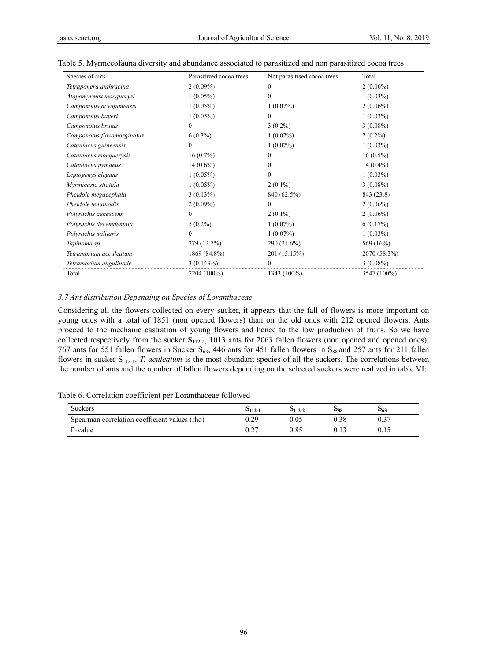| Species of ants            | Parasitized cocoa trees | Not parasitised cocoa trees | Total        |  |
|----------------------------|-------------------------|-----------------------------|--------------|--|
| Tetraponera anthracina     | $2(0.09\%)$             | $\theta$                    | $2(0.06\%)$  |  |
| Atopomyrmex mocquerysi     | $1(0.05\%)$             | $\mathbf{0}$                | $1(0.03\%)$  |  |
| Camponotus acvapimensis    | $1(0.05\%)$             | $1(0.07\%)$                 | $2(0.06\%)$  |  |
| Camponotus bayeri          | $1(0.05\%)$             | $\theta$                    | $1(0.03\%)$  |  |
| Camponotus brutus          | $\boldsymbol{0}$        | $3(0.2\%)$                  | $3(0.08\%)$  |  |
| Camponotus flavomarginatus | $6(0.3\%)$              | $1(0.07\%)$                 | $7(0.2\%)$   |  |
| Cataulacus guineensis      | $\boldsymbol{0}$        | $1(0.07\%)$                 | $1(0.03\%)$  |  |
| Cataulacus mocquerysis     | $16(0.7\%)$             | $\theta$                    | $16(0.5\%)$  |  |
| Cataulacus pymaeus         | $14(0.6\%)$             | 0                           | $14(0.4\%)$  |  |
| Leptogenys elegans         | $1(0.05\%)$             | $\mathbf{0}$                | $1(0.03\%)$  |  |
| Myrmicaria stiatula        | $1(0.05\%)$             | $2(0.1\%)$                  | $3(0.08\%)$  |  |
| Pheidole megacephala       | $3(0.13\%)$             | 840 (62.5%)                 | 843 (23.8)   |  |
| Pheidole tenuinodis        | $2(0.09\%)$             | $\mathbf{0}$                | $2(0.06\%)$  |  |
| Polyrachis aenescens       | $\mathbf{0}$            | $2(0.1\%)$                  | $2(0.06\%)$  |  |
| Polyrachis decemdentata    | $5(0.2\%)$              | $1(0.07\%)$                 | 6(0.17%)     |  |
| Polyrachis militaris       | $\boldsymbol{0}$        | $1(0.07\%)$                 | $1(0.03\%)$  |  |
| Tapinoma sp.               | 279 (12.7%)             | 290 (21.6%)                 | 569 (16%)    |  |
| Tetramorium acculeatum     | 1869 (84.8%)            | 201 (15.15%)                | 2070 (58.3%) |  |
| Tetramorium angulinode     | 3(0.143%)               | $\mathbf{0}$                | $3(0.08\%)$  |  |
| Total                      | 2204 (100%)             | 1343 (100%)                 | 3547 (100%)  |  |

#### Table 5. Myrmecofauna diversity and abundance associated to parasitized and non parasitized cocoa trees

#### *3.7 Ant distribution Depending on Species of Loranthaceae*

Considering all the flowers collected on every sucker, it appears that the fall of flowers is more important on young ones with a total of 1851 (non opened flowers) than on the old ones with 212 opened flowers. Ants proceed to the mechanic castration of young flowers and hence to the low production of fruits. So we have collected respectively from the sucker  $S_{112-2}$ , 1013 ants for 2063 fallen flowers (non opened and opened ones); 767 ants for 551 fallen flowers in Sucker  $S_{63}$ ; 446 ants for 451 fallen flowers in  $S_{88}$  and 257 ants for 211 fallen flowers in sucker S<sub>112-1</sub>. *T. aculeatum* is the most abundant species of all the suckers. The correlations between the number of ants and the number of fallen flowers depending on the selected suckers were realized in table VI:

#### Table 6. Correlation coefficient per Loranthaceae followed

| <b>Suckers</b>                                | $5112 - 1$ | $5112 - 2$ | <b>D88</b> | 563 |
|-----------------------------------------------|------------|------------|------------|-----|
| Spearman correlation coefficient values (rho) | 0.29       | 0.05       | 0.38       |     |
| P-value                                       | $0.2^{-}$  | 0.85       |            |     |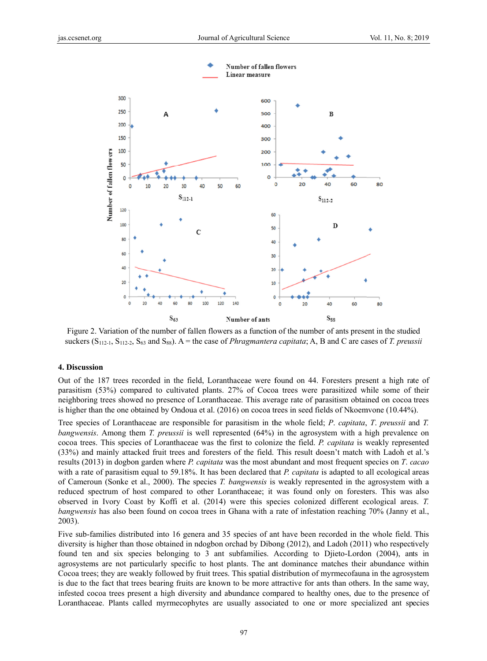

Figure 2. Variation of the number of fallen flowers as a function of the number of ants present in the studied suckers ( $S_{112-1}$ ,  $S_{112-2}$ ,  $S_{63}$  and  $S_{88}$ ). A = the case of *Phragmantera capitata*; A, B and C are cases of T. preussii

#### 4. Discussion

Out of the 187 trees recorded in the field, Loranthaceae were found on 44. Foresters present a high rate of parasitism (53%) compared to cultivated plants. 27% of Cocoa trees were parasitized while some of their neighboring trees showed no presence of Loranthaceae. This average rate of parasitism obtained on cocoa trees is higher than the one obtained by Ondoua et al. (2016) on cocoa trees in seed fields of Nkoemvone (10.44%).

Tree species of Loranthaceae are responsible for parasitism in the whole field; P. capitata, T. preussii and T. *bangwensis*. Among them *T. preussii* is well represented  $(64%)$  in the agrosystem with a high prevalence on cocoa trees. This species of Loranthaceae was the first to colonize the field. P. capitata is weakly represented (33%) and mainly attacked fruit trees and foresters of the field. This result doesn't match with Ladoh et al.'s results (2013) in dogbon garden where P, capitata was the most abundant and most frequent species on T, cacao with a rate of parasitism equal to 59.18%. It has been declared that P. capitata is adapted to all ecological areas of Cameroun (Sonke et al., 2000). The species T. bangwensis is weakly represented in the agrosystem with a reduced spectrum of host compared to other Loranthaceae; it was found only on foresters. This was also observed in Ivory Coast by Koffi et al. (2014) were this species colonized different ecological areas. T. *bangwensis* has also been found on cocoa trees in Ghana with a rate of infestation reaching 70% (Janny et al.,  $2003$ ).

Five sub-families distributed into 16 genera and 35 species of ant have been recorded in the whole field. This diversity is higher than those obtained in ndogbon orchad by Dibong (2012), and Ladoh (2011) who respectively found ten and six species belonging to 3 ant subfamilies. According to Djieto-Lordon (2004), ants in agrosystems are not particularly specific to host plants. The ant dominance matches their abundance within Cocoa trees; they are weakly followed by fruit trees. This spatial distribution of myrmecofauna in the agrosystem is due to the fact that trees bearing fruits are known to be more attractive for ants than others. In the same way, infested cocoa trees present a high diversity and abundance compared to healthy ones, due to the presence of Loranthaceae. Plants called myrmecophytes are usually associated to one or more specialized ant species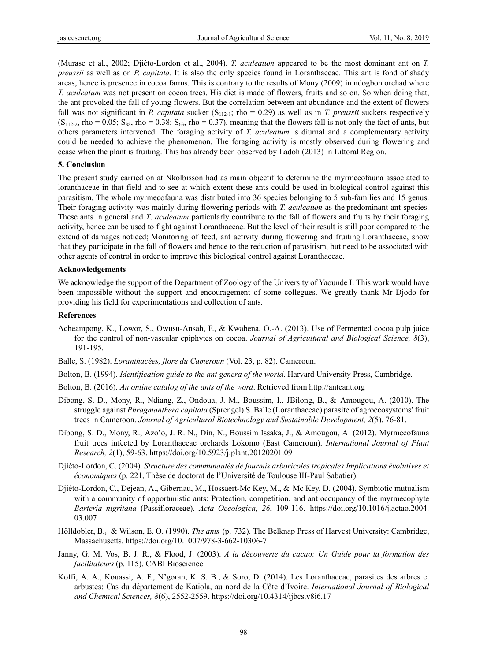(Murase et al., 2002; Djiéto-Lordon et al., 2004). *T. aculeatum* appeared to be the most dominant ant on *T. preussii* as well as on *P. capitata*. It is also the only species found in Loranthaceae. This ant is fond of shady areas, hence is presence in cocoa farms. This is contrary to the results of Mony (2009) in ndogbon orchad where *T. aculeatum* was not present on cocoa trees. His diet is made of flowers, fruits and so on. So when doing that, the ant provoked the fall of young flowers. But the correlation between ant abundance and the extent of flowers fall was not significant in *P. capitata* sucker (S<sub>112-1</sub>; rho = 0.29) as well as in *T. preussii* suckers respectively  $(S<sub>112-2</sub>, rho = 0.05; S<sub>88</sub>, rho = 0.38; S<sub>63</sub>, rho = 0.37), meaning that the flowers fall is not only the fact of ants, but$ others parameters intervened. The foraging activity of *T. aculeatum* is diurnal and a complementary activity could be needed to achieve the phenomenon. The foraging activity is mostly observed during flowering and cease when the plant is fruiting. This has already been observed by Ladoh (2013) in Littoral Region.

### **5. Conclusion**

The present study carried on at Nkolbisson had as main objectif to determine the myrmecofauna associated to loranthaceae in that field and to see at which extent these ants could be used in biological control against this parasitism. The whole myrmecofauna was distributed into 36 species belonging to 5 sub-families and 15 genus. Their foraging activity was mainly during flowering periods with *T. aculeatum* as the predominant ant species. These ants in general and *T*. *aculeatum* particularly contribute to the fall of flowers and fruits by their foraging activity, hence can be used to fight against Loranthaceae. But the level of their result is still poor compared to the extend of damages noticed; Monitoring of feed, ant activity during flowering and fruiting Loranthaceae, show that they participate in the fall of flowers and hence to the reduction of parasitism, but need to be associated with other agents of control in order to improve this biological control against Loranthaceae.

#### **Acknowledgements**

We acknowledge the support of the Department of Zoology of the University of Yaounde I. This work would have been impossible without the support and encouragement of some collegues. We greatly thank Mr Djodo for providing his field for experimentations and collection of ants.

### **References**

- Acheampong, K., Lowor, S., Owusu-Ansah, F., & Kwabena, O.-A. (2013). Use of Fermented cocoa pulp juice for the control of non-vascular epiphytes on cocoa. *Journal of Agricultural and Biological Science, 8*(3), 191-195.
- Balle, S. (1982). *Loranthacées, flore du Cameroun* (Vol. 23, p. 82). Cameroun.
- Bolton, B. (1994). *Identification guide to the ant genera of the world*. Harvard University Press, Cambridge.
- Bolton, B. (2016). *An online catalog of the ants of the word*. Retrieved from http://antcant.org
- Dibong, S. D., Mony, R., Ndiang, Z., Ondoua, J. M., Boussim, I., JBilong, B., & Amougou, A. (2010). The struggle against *Phragmanthera capitata* (Sprengel) S. Balle (Loranthaceae) parasite of agroecosystems' fruit trees in Cameroon. *Journal of Agricultural Biotechnology and Sustainable Development, 2*(5), 76-81.
- Dibong, S. D., Mony, R., Azo'o, J. R. N., Din, N., Boussim Issaka, J., & Amougou, A. (2012). Myrmecofauna fruit trees infected by Loranthaceae orchards Lokomo (East Cameroun). *International Journal of Plant Research, 2*(1), 59-63. https://doi.org/10.5923/j.plant.20120201.09
- Djiéto-Lordon, C. (2004). *Structure des communautés de fourmis arboricoles tropicales Implications évolutives et économiques* (p. 221, Thèse de doctorat de l'Université de Toulouse III-Paul Sabatier).
- Djiéto-Lordon, C., Dejean, A., Gibernau, M., Hossaert-Mc Key, M., & Mc Key, D. (2004). Symbiotic mutualism with a community of opportunistic ants: Protection, competition, and ant occupancy of the myrmecophyte *Barteria nigritana* (Passifloraceae). *Acta Oecologica, 26*, 109-116. https://doi.org/10.1016/j.actao.2004. 03.007
- Hölldobler, B., & Wilson, E. O. (1990). *The ants* (p. 732). The Belknap Press of Harvest University: Cambridge, Massachusetts. https://doi.org/10.1007/978-3-662-10306-7
- Janny, G. M. Vos, B. J. R., & Flood, J. (2003). *A la découverte du cacao: Un Guide pour la formation des facilitateurs* (p. 115). CABI Bioscience.
- Koffi, A. A., Kouassi, A. F., N'goran, K. S. B., & Soro, D. (2014). Les Loranthaceae, parasites des arbres et arbustes: Cas du département de Katiola, au nord de la Côte d'Ivoire. *International Journal of Biological and Chemical Sciences, 8*(6), 2552-2559. https://doi.org/10.4314/ijbcs.v8i6.17